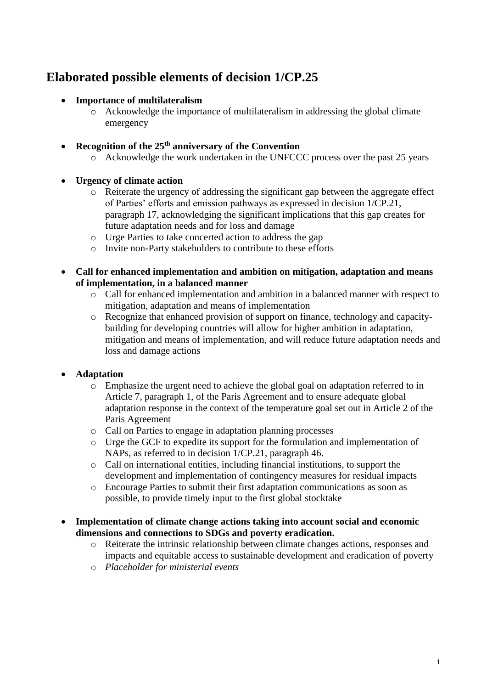# **Elaborated possible elements of decision 1/CP.25**

#### • **Importance of multilateralism**

o Acknowledge the importance of multilateralism in addressing the global climate emergency

#### • **Recognition of the 25th anniversary of the Convention**

o Acknowledge the work undertaken in the UNFCCC process over the past 25 years

#### • **Urgency of climate action**

- o Reiterate the urgency of addressing the significant gap between the aggregate effect of Parties' efforts and emission pathways as expressed in decision 1/CP.21, paragraph 17, acknowledging the significant implications that this gap creates for future adaptation needs and for loss and damage
- o Urge Parties to take concerted action to address the gap
- o Invite non-Party stakeholders to contribute to these efforts
- **Call for enhanced implementation and ambition on mitigation, adaptation and means of implementation, in a balanced manner**
	- o Call for enhanced implementation and ambition in a balanced manner with respect to mitigation, adaptation and means of implementation
	- o Recognize that enhanced provision of support on finance, technology and capacitybuilding for developing countries will allow for higher ambition in adaptation, mitigation and means of implementation, and will reduce future adaptation needs and loss and damage actions

### • **Adaptation**

- o Emphasize the urgent need to achieve the global goal on adaptation referred to in Article 7, paragraph 1, of the Paris Agreement and to ensure adequate global adaptation response in the context of the temperature goal set out in Article 2 of the Paris Agreement
- o Call on Parties to engage in adaptation planning processes
- o Urge the GCF to expedite its support for the formulation and implementation of NAPs, as referred to in decision 1/CP.21, paragraph 46.
- o Call on international entities, including financial institutions, to support the development and implementation of contingency measures for residual impacts
- o Encourage Parties to submit their first adaptation communications as soon as possible, to provide timely input to the first global stocktake
- **Implementation of climate change actions taking into account social and economic dimensions and connections to SDGs and poverty eradication.**
	- o Reiterate the intrinsic relationship between climate changes actions, responses and impacts and equitable access to sustainable development and eradication of poverty
	- o *Placeholder for ministerial events*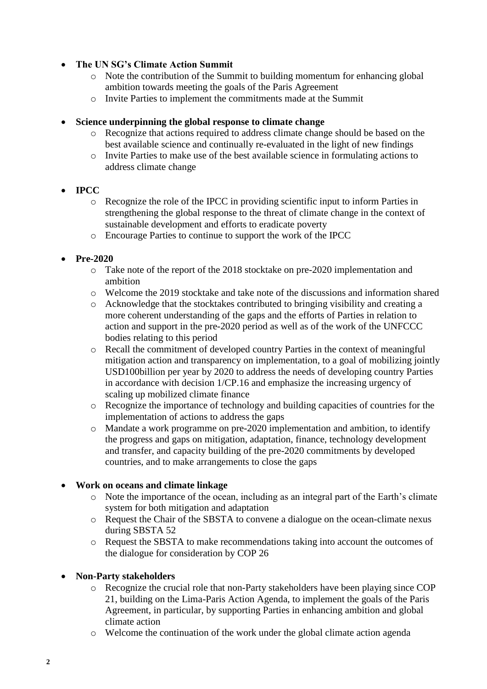#### • **The UN SG's Climate Action Summit**

- o Note the contribution of the Summit to building momentum for enhancing global ambition towards meeting the goals of the Paris Agreement
- o Invite Parties to implement the commitments made at the Summit

#### • **Science underpinning the global response to climate change**

- o Recognize that actions required to address climate change should be based on the best available science and continually re-evaluated in the light of new findings
- o Invite Parties to make use of the best available science in formulating actions to address climate change
- **IPCC** 
	- o Recognize the role of the IPCC in providing scientific input to inform Parties in strengthening the global response to the threat of climate change in the context of sustainable development and efforts to eradicate poverty
	- o Encourage Parties to continue to support the work of the IPCC

#### • **Pre-2020**

- o Take note of the report of the 2018 stocktake on pre-2020 implementation and ambition
- o Welcome the 2019 stocktake and take note of the discussions and information shared
- o Acknowledge that the stocktakes contributed to bringing visibility and creating a more coherent understanding of the gaps and the efforts of Parties in relation to action and support in the pre-2020 period as well as of the work of the UNFCCC bodies relating to this period
- o Recall the commitment of developed country Parties in the context of meaningful mitigation action and transparency on implementation, to a goal of mobilizing jointly USD100billion per year by 2020 to address the needs of developing country Parties in accordance with decision 1/CP.16 and emphasize the increasing urgency of scaling up mobilized climate finance
- o Recognize the importance of technology and building capacities of countries for the implementation of actions to address the gaps
- o Mandate a work programme on pre-2020 implementation and ambition, to identify the progress and gaps on mitigation, adaptation, finance, technology development and transfer, and capacity building of the pre-2020 commitments by developed countries, and to make arrangements to close the gaps

#### • **Work on oceans and climate linkage**

- o Note the importance of the ocean, including as an integral part of the Earth's climate system for both mitigation and adaptation
- o Request the Chair of the SBSTA to convene a dialogue on the ocean-climate nexus during SBSTA 52
- o Request the SBSTA to make recommendations taking into account the outcomes of the dialogue for consideration by COP 26

#### • **Non-Party stakeholders**

- o Recognize the crucial role that non-Party stakeholders have been playing since COP 21, building on the Lima-Paris Action Agenda, to implement the goals of the Paris Agreement, in particular, by supporting Parties in enhancing ambition and global climate action
- o Welcome the continuation of the work under the global climate action agenda